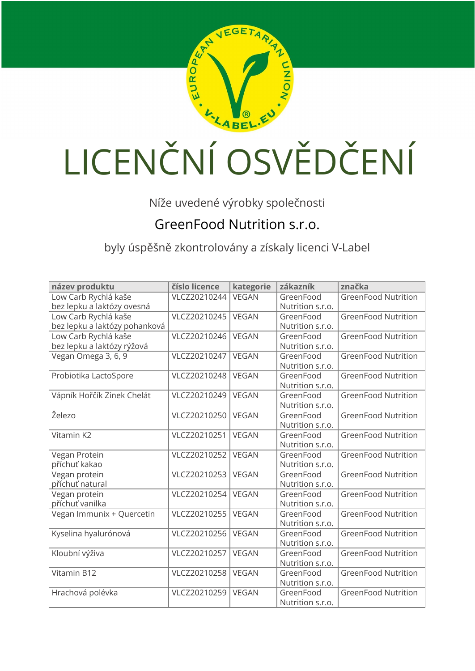

## LICENČNÍ OSVĚDČENÍ

Níže uvedené výrobky společnosti

## GreenFood Nutrition s.r.o.

byly úspěšně zkontrolovány a získaly licenci V-Label

| název produktu                | číslo licence | kategorie    | zákazník         | značka                     |
|-------------------------------|---------------|--------------|------------------|----------------------------|
| Low Carb Rychlá kaše          | VLCZ20210244  | <b>VEGAN</b> | GreenFood        | <b>GreenFood Nutrition</b> |
| bez lepku a laktózy ovesná    |               |              | Nutrition s.r.o. |                            |
| Low Carb Rychlá kaše          | VLCZ20210245  | <b>VEGAN</b> | GreenFood        | <b>GreenFood Nutrition</b> |
| bez lepku a laktózy pohanková |               |              | Nutrition s.r.o. |                            |
| Low Carb Rychlá kaše          | VLCZ20210246  | <b>VEGAN</b> | GreenFood        | <b>GreenFood Nutrition</b> |
| bez lepku a laktózy rýžová    |               |              | Nutrition s.r.o. |                            |
| Vegan Omega 3, 6, 9           | VLCZ20210247  | <b>VEGAN</b> | GreenFood        | <b>GreenFood Nutrition</b> |
|                               |               |              | Nutrition s.r.o. |                            |
| Probiotika LactoSpore         | VLCZ20210248  | <b>VEGAN</b> | GreenFood        | <b>GreenFood Nutrition</b> |
|                               |               |              | Nutrition s.r.o. |                            |
| Vápník Hořčík Zinek Chelát    | VLCZ20210249  | <b>VEGAN</b> | GreenFood        | <b>GreenFood Nutrition</b> |
|                               |               |              | Nutrition s.r.o. |                            |
| Železo                        | VLCZ20210250  | <b>VEGAN</b> | GreenFood        | <b>GreenFood Nutrition</b> |
|                               |               |              | Nutrition s.r.o. |                            |
| Vitamin K2                    | VLCZ20210251  | <b>VEGAN</b> | GreenFood        | <b>GreenFood Nutrition</b> |
|                               |               |              | Nutrition s.r.o. |                            |
| Vegan Protein                 | VLCZ20210252  | <b>VEGAN</b> | GreenFood        | <b>GreenFood Nutrition</b> |
| příchuť kakao                 |               |              | Nutrition s.r.o. |                            |
| Vegan protein                 | VLCZ20210253  | <b>VEGAN</b> | GreenFood        | <b>GreenFood Nutrition</b> |
| příchuť natural               |               |              | Nutrition s.r.o. |                            |
| Vegan protein                 | VLCZ20210254  | <b>VEGAN</b> | GreenFood        | <b>GreenFood Nutrition</b> |
| příchuť vanilka               |               |              | Nutrition s.r.o. |                            |
| Vegan Immunix + Quercetin     | VLCZ20210255  | <b>VEGAN</b> | GreenFood        | <b>GreenFood Nutrition</b> |
|                               |               |              | Nutrition s.r.o. |                            |
| Kyselina hyalurónová          | VLCZ20210256  | <b>VEGAN</b> | GreenFood        | <b>GreenFood Nutrition</b> |
|                               |               |              | Nutrition s.r.o. |                            |
| Kloubní výživa                | VLCZ20210257  | <b>VEGAN</b> | GreenFood        | <b>GreenFood Nutrition</b> |
|                               |               |              | Nutrition s.r.o. |                            |
| Vitamin B12                   | VLCZ20210258  | <b>VEGAN</b> | GreenFood        | <b>GreenFood Nutrition</b> |
|                               |               |              | Nutrition s.r.o. |                            |
| Hrachová polévka              | VLCZ20210259  | <b>VEGAN</b> | GreenFood        | <b>GreenFood Nutrition</b> |
|                               |               |              | Nutrition s.r.o. |                            |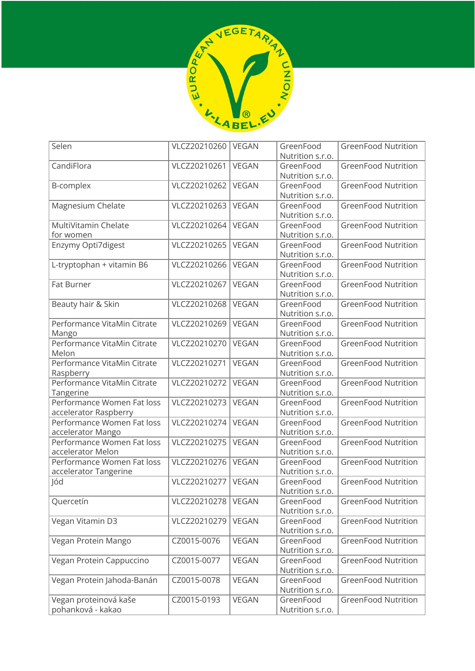

| Selen                                      | VLCZ20210260 | VEGAN        | GreenFood<br>Nutrition s.r.o. | <b>GreenFood Nutrition</b> |
|--------------------------------------------|--------------|--------------|-------------------------------|----------------------------|
| CandiFlora                                 | VLCZ20210261 | <b>VEGAN</b> | GreenFood                     | <b>GreenFood Nutrition</b> |
|                                            |              |              | Nutrition s.r.o.              |                            |
| B-complex                                  | VLCZ20210262 | <b>VEGAN</b> | GreenFood                     | <b>GreenFood Nutrition</b> |
|                                            |              |              | Nutrition s.r.o.              |                            |
| Magnesium Chelate                          | VLCZ20210263 | <b>VEGAN</b> | GreenFood                     | <b>GreenFood Nutrition</b> |
|                                            |              |              | Nutrition s.r.o.              |                            |
| MultiVitamin Chelate                       | VLCZ20210264 | <b>VEGAN</b> | GreenFood                     | <b>GreenFood Nutrition</b> |
| for women                                  |              |              | Nutrition s.r.o.              |                            |
| Enzymy Opti7digest                         | VLCZ20210265 | <b>VEGAN</b> | GreenFood                     | <b>GreenFood Nutrition</b> |
|                                            |              |              | Nutrition s.r.o.              |                            |
| L-tryptophan + vitamin B6                  | VLCZ20210266 | <b>VEGAN</b> | GreenFood                     | <b>GreenFood Nutrition</b> |
|                                            |              |              | Nutrition s.r.o.              |                            |
| Fat Burner                                 | VLCZ20210267 | <b>VEGAN</b> | GreenFood                     | <b>GreenFood Nutrition</b> |
|                                            |              |              | Nutrition s.r.o.              |                            |
| Beauty hair & Skin                         | VLCZ20210268 | <b>VEGAN</b> | GreenFood                     | <b>GreenFood Nutrition</b> |
|                                            |              |              | Nutrition s.r.o.              |                            |
| Performance VitaMin Citrate                | VLCZ20210269 | <b>VEGAN</b> | GreenFood                     | <b>GreenFood Nutrition</b> |
| Mango                                      |              |              | Nutrition s.r.o.              |                            |
| Performance VitaMin Citrate                | VLCZ20210270 | <b>VEGAN</b> | GreenFood                     | <b>GreenFood Nutrition</b> |
| Melon                                      |              |              | Nutrition s.r.o.              |                            |
| Performance VitaMin Citrate                | VLCZ20210271 | <b>VEGAN</b> | GreenFood                     | <b>GreenFood Nutrition</b> |
| Raspberry                                  |              |              | Nutrition s.r.o.              |                            |
| Performance VitaMin Citrate                | VLCZ20210272 | <b>VEGAN</b> | GreenFood                     | <b>GreenFood Nutrition</b> |
| Tangerine                                  |              |              | Nutrition s.r.o.              |                            |
| Performance Women Fat loss                 | VLCZ20210273 | <b>VEGAN</b> | GreenFood                     | <b>GreenFood Nutrition</b> |
| accelerator Raspberry                      |              |              | Nutrition s.r.o.              |                            |
| Performance Women Fat loss                 | VLCZ20210274 | <b>VEGAN</b> | GreenFood                     | <b>GreenFood Nutrition</b> |
| accelerator Mango                          |              |              | Nutrition s.r.o.              |                            |
| Performance Women Fat loss                 | VLCZ20210275 | <b>VEGAN</b> | GreenFood                     | <b>GreenFood Nutrition</b> |
| accelerator Melon                          |              |              | Nutrition s.r.o.              |                            |
| Performance Women Fat loss                 | VLCZ20210276 | <b>VEGAN</b> | GreenFood                     | <b>GreenFood Nutrition</b> |
| accelerator Tangerine                      |              |              | Nutrition s.r.o.              |                            |
| Jód                                        | VLCZ20210277 | <b>VEGAN</b> | GreenFood                     | <b>GreenFood Nutrition</b> |
|                                            |              |              | Nutrition s.r.o.              |                            |
| Quercetín                                  | VLCZ20210278 | <b>VEGAN</b> | GreenFood                     | <b>GreenFood Nutrition</b> |
|                                            |              |              | Nutrition s.r.o.              |                            |
| Vegan Vitamin D3                           | VLCZ20210279 | <b>VEGAN</b> | GreenFood                     | <b>GreenFood Nutrition</b> |
|                                            |              |              | Nutrition s.r.o.              |                            |
| Vegan Protein Mango                        | CZ0015-0076  | <b>VEGAN</b> | GreenFood                     | <b>GreenFood Nutrition</b> |
|                                            |              |              | Nutrition s.r.o.              |                            |
| Vegan Protein Cappuccino                   | CZ0015-0077  | <b>VEGAN</b> | GreenFood                     | <b>GreenFood Nutrition</b> |
|                                            |              |              | Nutrition s.r.o.              |                            |
| Vegan Protein Jahoda-Banán                 | CZ0015-0078  | <b>VEGAN</b> | GreenFood                     | <b>GreenFood Nutrition</b> |
|                                            |              |              | Nutrition s.r.o.              |                            |
| Vegan proteinová kaše<br>pohanková - kakao | CZ0015-0193  | <b>VEGAN</b> | GreenFood                     | <b>GreenFood Nutrition</b> |
|                                            |              |              | Nutrition s.r.o.              |                            |